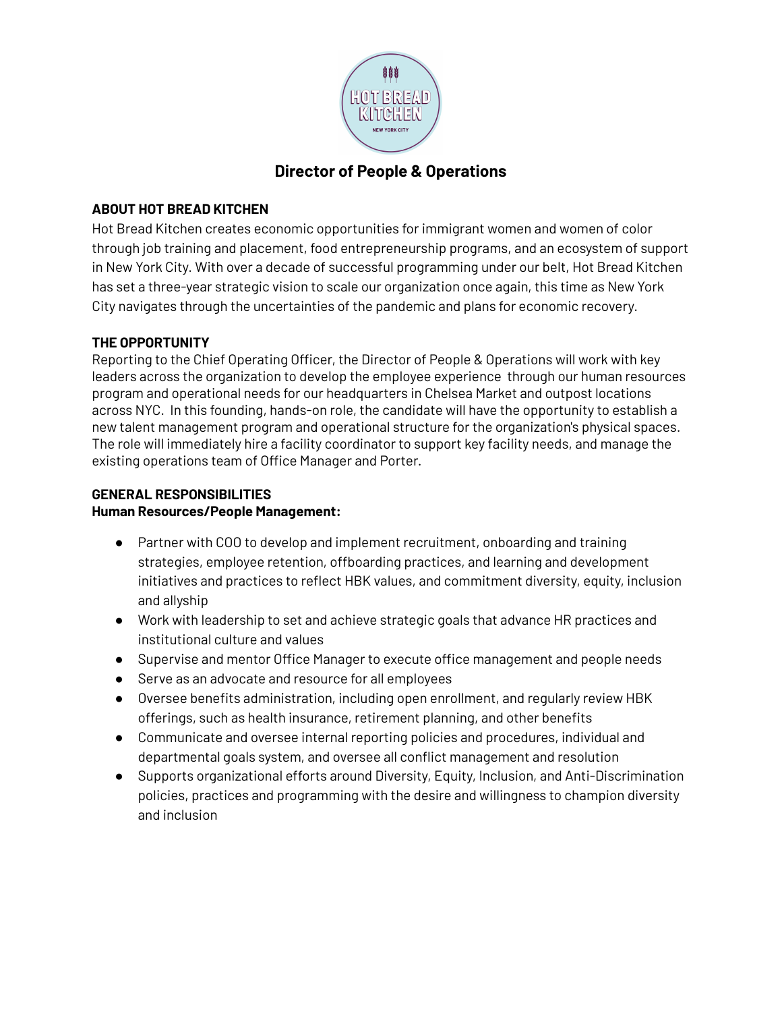

# **Director of People & Operations**

## **ABOUT HOT BREAD KITCHEN**

Hot Bread Kitchen creates economic opportunities for immigrant women and women of color through job training and placement, food entrepreneurship programs, and an ecosystem of support in New York City. With over a decade of successful programming under our belt, Hot Bread Kitchen has set a three-year strategic vision to scale our organization once again, this time as New York City navigates through the uncertainties of the pandemic and plans for economic recovery.

# **THE OPPORTUNITY**

Reporting to the Chief Operating Officer, the Director of People & Operations will work with key leaders across the organization to develop the employee experience through our human resources program and operational needs for our headquarters in Chelsea Market and outpost locations across NYC. In this founding, hands-on role, the candidate will have the opportunity to establish a new talent management program and operational structure for the organization's physical spaces. The role will immediately hire a facility coordinator to support key facility needs, and manage the existing operations team of Office Manager and Porter.

# **GENERAL RESPONSIBILITIES**

#### **Human Resources/People Management:**

- Partner with COO to develop and implement recruitment, onboarding and training strategies, employee retention, offboarding practices, and learning and development initiatives and practices to reflect HBK values, and commitment diversity, equity, inclusion and allyship
- Work with leadership to set and achieve strategic goals that advance HR practices and institutional culture and values
- Supervise and mentor Office Manager to execute office management and people needs
- Serve as an advocate and resource for all employees
- Oversee benefits administration, including open enrollment, and regularly review HBK offerings, such as health insurance, retirement planning, and other benefits
- Communicate and oversee internal reporting policies and procedures, individual and departmental goals system, and oversee all conflict management and resolution
- Supports organizational efforts around Diversity, Equity, Inclusion, and Anti-Discrimination policies, practices and programming with the desire and willingness to champion diversity and inclusion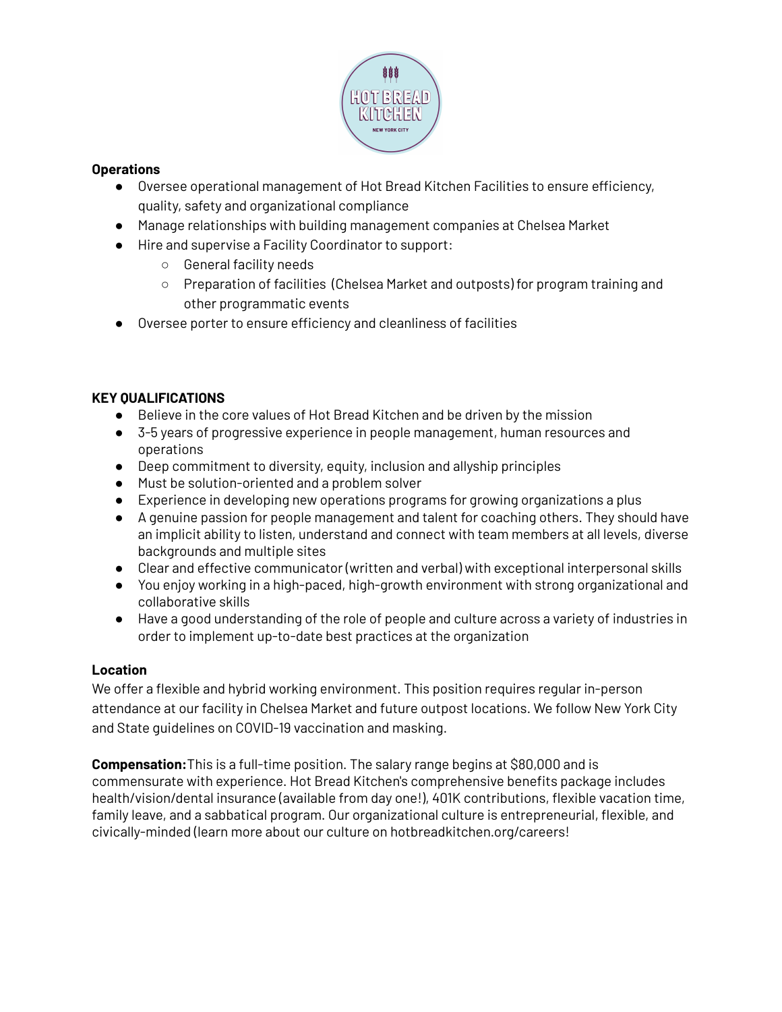

#### **Operations**

- Oversee operational management of Hot Bread Kitchen Facilities to ensure efficiency, quality, safety and organizational compliance
- Manage relationships with building management companies at Chelsea Market
- Hire and supervise a Facility Coordinator to support:
	- General facility needs
	- Preparation of facilities (Chelsea Market and outposts) for program training and other programmatic events
- Oversee porter to ensure efficiency and cleanliness of facilities

#### **KEY QUALIFICATIONS**

- Believe in the core values of Hot Bread Kitchen and be driven by the mission
- 3-5 years of progressive experience in people management, human resources and operations
- Deep commitment to diversity, equity, inclusion and allyship principles
- Must be solution-oriented and a problem solver
- Experience in developing new operations programs for growing organizations a plus
- A genuine passion for people management and talent for coaching others. They should have an implicit ability to listen, understand and connect with team members at all levels, diverse backgrounds and multiple sites
- Clear and effective communicator (written and verbal) with exceptional interpersonal skills
- You enjoy working in a high-paced, high-growth environment with strong organizational and collaborative skills
- Have a good understanding of the role of people and culture across a variety of industries in order to implement up-to-date best practices at the organization

#### **Location**

We offer a flexible and hybrid working environment. This position requires regular in-person attendance at our facility in Chelsea Market and future outpost locations. We follow New York City and State guidelines on COVID-19 vaccination and masking.

**Compensation:**This is a full-time position. The salary range begins at \$80,000 and is commensurate with experience. Hot Bread Kitchen's comprehensive benefits package includes health/vision/dental insurance (available from day one!), 401K contributions, flexible vacation time, family leave, and a sabbatical program. Our organizational culture is entrepreneurial, flexible, and civically-minded (learn more about our culture on hotbreadkitchen.org/careers!